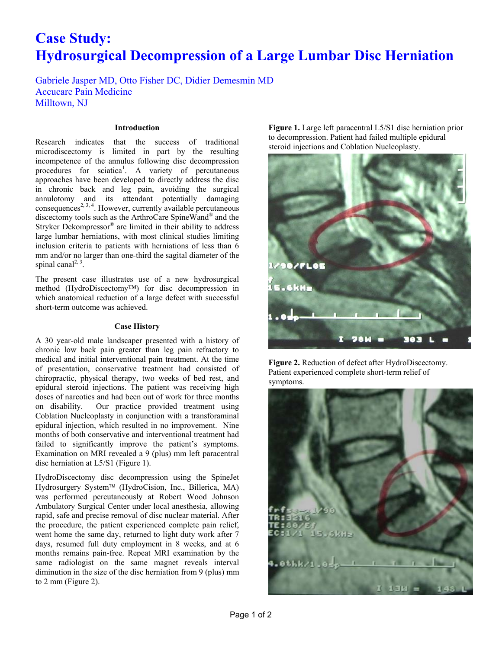# **Case Study: Hydrosurgical Decompression of a Large Lumbar Disc Herniation**

Gabriele Jasper MD, Otto Fisher DC, Didier Demesmin MD Accucare Pain Medicine Milltown, NJ

## **Introduction**

Research indicates that the success of traditional microdiscectomy is limited in part by the resulting incompetence of the annulus following disc decompression procedures for sciatica<sup>1</sup>. A variety of percutaneous approaches have been developed to directly address the disc in chronic back and leg pain, avoiding the surgical annulotomy and its attendant potentially damaging consequences<sup>2, 3, 4</sup>. However, currently available percutaneous discectomy tools such as the ArthroCare SpineWand® and the Stryker Dekompressor® are limited in their ability to address large lumbar herniations, with most clinical studies limiting inclusion criteria to patients with herniations of less than 6 mm and/or no larger than one-third the sagital diameter of the spinal canal<sup>2, 3</sup>.

The present case illustrates use of a new hydrosurgical method (HydroDiscectomy™) for disc decompression in which anatomical reduction of a large defect with successful short-term outcome was achieved.

## **Case History**

A 30 year-old male landscaper presented with a history of chronic low back pain greater than leg pain refractory to medical and initial interventional pain treatment. At the time of presentation, conservative treatment had consisted of chiropractic, physical therapy, two weeks of bed rest, and epidural steroid injections. The patient was receiving high doses of narcotics and had been out of work for three months on disability. Our practice provided treatment using Coblation Nucleoplasty in conjunction with a transforaminal epidural injection, which resulted in no improvement. Nine months of both conservative and interventional treatment had failed to significantly improve the patient's symptoms. Examination on MRI revealed a 9 (plus) mm left paracentral disc herniation at L5/S1 (Figure 1).

HydroDiscectomy disc decompression using the SpineJet Hydrosurgery System™ (HydroCision, Inc., Billerica, MA) was performed percutaneously at Robert Wood Johnson Ambulatory Surgical Center under local anesthesia, allowing rapid, safe and precise removal of disc nuclear material. After the procedure, the patient experienced complete pain relief, went home the same day, returned to light duty work after 7 days, resumed full duty employment in 8 weeks, and at 6 months remains pain-free. Repeat MRI examination by the same radiologist on the same magnet reveals interval diminution in the size of the disc herniation from 9 (plus) mm to 2 mm (Figure 2).

**Figure 1.** Large left paracentral L5/S1 disc herniation prior to decompression. Patient had failed multiple epidural steroid injections and Coblation Nucleoplasty.



**Figure 2.** Reduction of defect after HydroDiscectomy. Patient experienced complete short-term relief of symptoms.